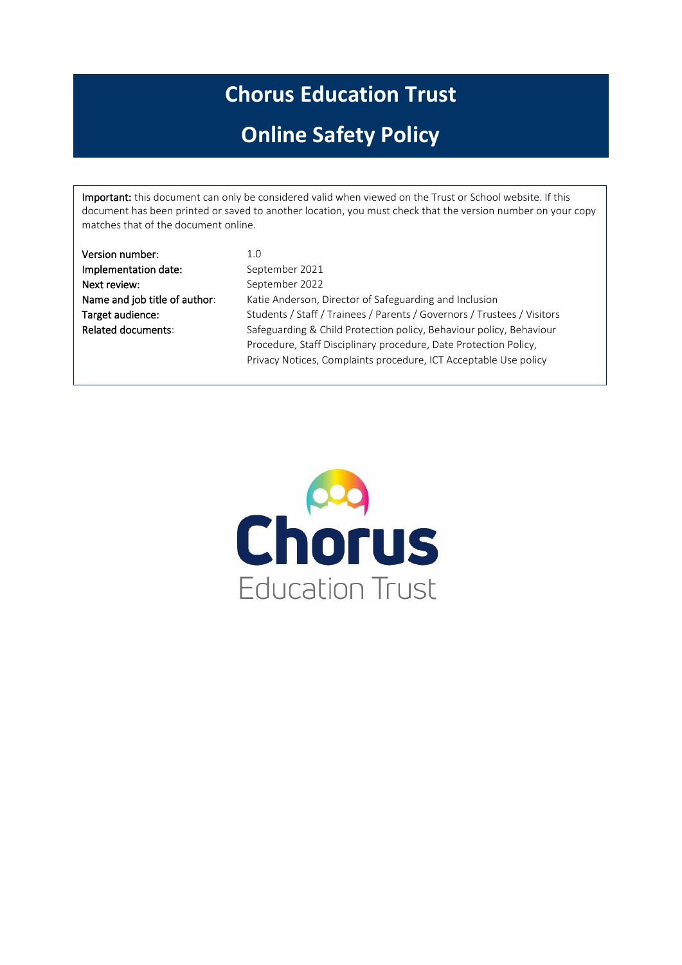# **Chorus Education Trust**

# **Online Safety Policy**

Important: this document can only be considered valid when viewed on the Trust or School website. If this document has been printed or saved to another location, you must check that the version number on your copy matches that of the document online.

| Version number:               | 1.0                                                                     |
|-------------------------------|-------------------------------------------------------------------------|
| Implementation date:          | September 2021                                                          |
| Next review:                  | September 2022                                                          |
| Name and job title of author: | Katie Anderson, Director of Safeguarding and Inclusion                  |
| Target audience:              | Students / Staff / Trainees / Parents / Governors / Trustees / Visitors |
| <b>Related documents:</b>     | Safeguarding & Child Protection policy, Behaviour policy, Behaviour     |
|                               | Procedure, Staff Disciplinary procedure, Date Protection Policy,        |
|                               | Privacy Notices, Complaints procedure, ICT Acceptable Use policy        |
|                               |                                                                         |

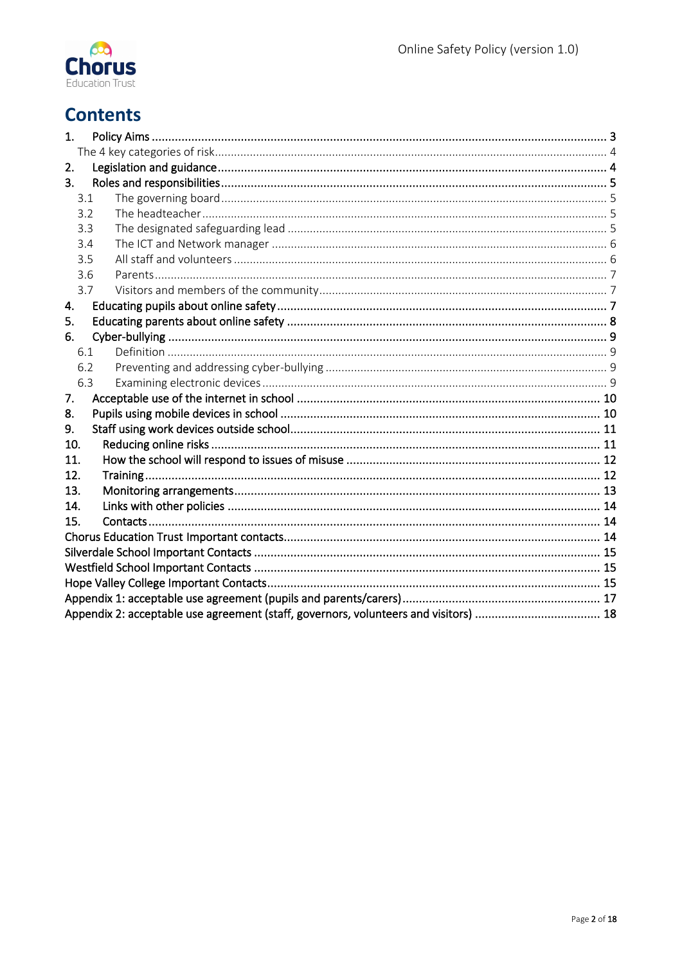

# **Contents**

| 1.                                                                                   |  |
|--------------------------------------------------------------------------------------|--|
|                                                                                      |  |
| 2.                                                                                   |  |
| 3.                                                                                   |  |
| 3.1                                                                                  |  |
| 3.2                                                                                  |  |
| 3.3                                                                                  |  |
| 3.4                                                                                  |  |
| 3.5                                                                                  |  |
| 3.6                                                                                  |  |
| 3.7                                                                                  |  |
| 4.                                                                                   |  |
| 5.                                                                                   |  |
| 6.                                                                                   |  |
| 6.1                                                                                  |  |
| 6.2                                                                                  |  |
| 6.3                                                                                  |  |
| 7.                                                                                   |  |
| 8.                                                                                   |  |
| 9.                                                                                   |  |
| 10.                                                                                  |  |
| 11.                                                                                  |  |
| 12.                                                                                  |  |
| 13.                                                                                  |  |
| 14.                                                                                  |  |
| 15.                                                                                  |  |
|                                                                                      |  |
|                                                                                      |  |
|                                                                                      |  |
|                                                                                      |  |
|                                                                                      |  |
| Appendix 2: acceptable use agreement (staff, governors, volunteers and visitors)  18 |  |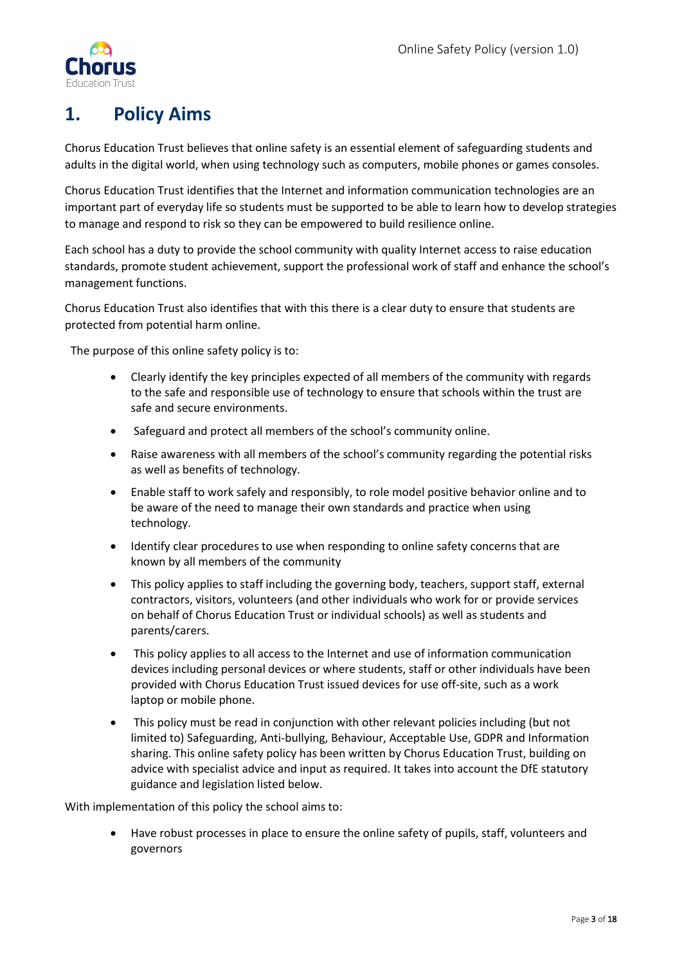

# <span id="page-2-0"></span>**1. Policy Aims**

Chorus Education Trust believes that online safety is an essential element of safeguarding students and adults in the digital world, when using technology such as computers, mobile phones or games consoles.

Chorus Education Trust identifies that the Internet and information communication technologies are an important part of everyday life so students must be supported to be able to learn how to develop strategies to manage and respond to risk so they can be empowered to build resilience online.

Each school has a duty to provide the school community with quality Internet access to raise education standards, promote student achievement, support the professional work of staff and enhance the school's management functions.

Chorus Education Trust also identifies that with this there is a clear duty to ensure that students are protected from potential harm online.

The purpose of this online safety policy is to:

- Clearly identify the key principles expected of all members of the community with regards to the safe and responsible use of technology to ensure that schools within the trust are safe and secure environments.
- Safeguard and protect all members of the school's community online.
- Raise awareness with all members of the school's community regarding the potential risks as well as benefits of technology.
- Enable staff to work safely and responsibly, to role model positive behavior online and to be aware of the need to manage their own standards and practice when using technology.
- Identify clear procedures to use when responding to online safety concerns that are known by all members of the community
- This policy applies to staff including the governing body, teachers, support staff, external contractors, visitors, volunteers (and other individuals who work for or provide services on behalf of Chorus Education Trust or individual schools) as well as students and parents/carers.
- This policy applies to all access to the Internet and use of information communication devices including personal devices or where students, staff or other individuals have been provided with Chorus Education Trust issued devices for use off-site, such as a work laptop or mobile phone.
- This policy must be read in conjunction with other relevant policies including (but not limited to) Safeguarding, Anti-bullying, Behaviour, Acceptable Use, GDPR and Information sharing. This online safety policy has been written by Chorus Education Trust, building on advice with specialist advice and input as required. It takes into account the DfE statutory guidance and legislation listed below.

With implementation of this policy the school aims to:

Have robust processes in place to ensure the online safety of pupils, staff, volunteers and governors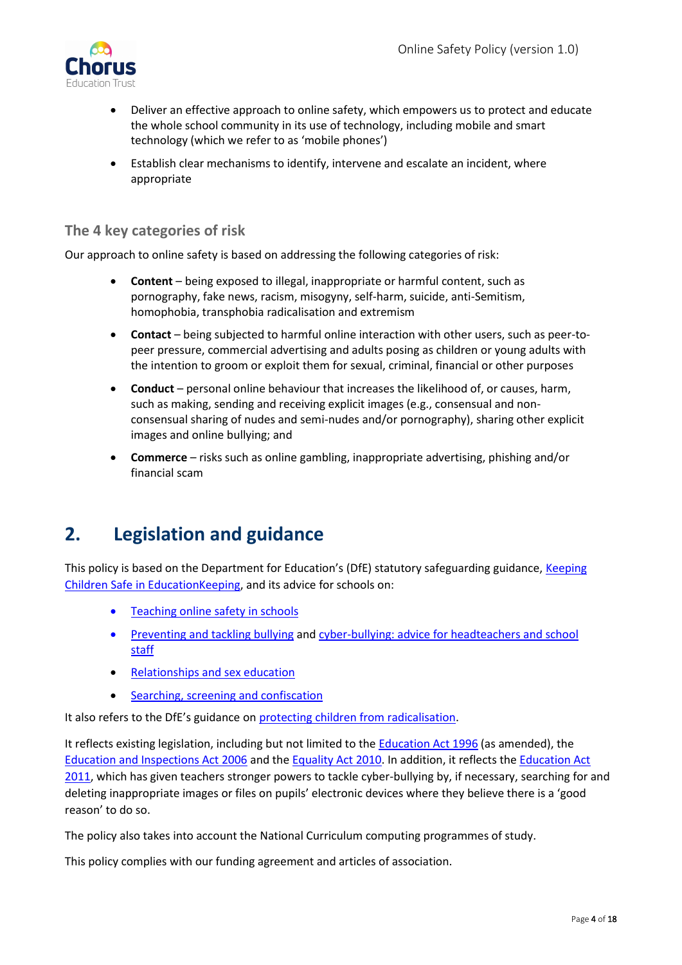

- Deliver an effective approach to online safety, which empowers us to protect and educate the whole school community in its use of technology, including mobile and smart technology (which we refer to as 'mobile phones')
- Establish clear mechanisms to identify, intervene and escalate an incident, where appropriate

### <span id="page-3-0"></span>**The 4 key categories of risk**

Our approach to online safety is based on addressing the following categories of risk:

- **Content** being exposed to illegal, inappropriate or harmful content, such as pornography, fake news, racism, misogyny, self-harm, suicide, anti-Semitism, homophobia, transphobia radicalisation and extremism
- **Contact** being subjected to harmful online interaction with other users, such as peer-topeer pressure, commercial advertising and adults posing as children or young adults with the intention to groom or exploit them for sexual, criminal, financial or other purposes
- **Conduct** personal online behaviour that increases the likelihood of, or causes, harm, such as making, sending and receiving explicit images (e.g., consensual and nonconsensual sharing of nudes and semi-nudes and/or pornography), sharing other explicit images and online bullying; and
- **Commerce** risks such as online gambling, inappropriate advertising, phishing and/or financial scam

## <span id="page-3-1"></span>**2. Legislation and guidance**

This policy is based on the Department for Education's (DfE) statutory safeguarding guidance, Keeping [Children Safe in EducationK](https://www.gov.uk/government/publications/keeping-children-safe-in-education--2)eeping, and its advice for schools on:

- [Teaching online safety in schools](https://www.gov.uk/government/publications/teaching-online-safety-in-schools)
- [Preventing and tackling bullying](https://www.gov.uk/government/publications/preventing-and-tackling-bullying) and [cyber-bullying: advice for headteachers and school](https://www.gov.uk/government/publications/preventing-and-tackling-bullying)  [staff](https://www.gov.uk/government/publications/preventing-and-tackling-bullying)
- [Relationships and sex education](https://www.gov.uk/government/publications/relationships-education-relationships-and-sex-education-rse-and-health-education)
- [Searching, screening and confiscation](https://www.gov.uk/government/publications/searching-screening-and-confiscation)

It also refers to the DfE's guidance on [protecting children from radicalisation.](https://www.gov.uk/government/publications/protecting-children-from-radicalisation-the-prevent-duty)

It reflects existing legislation, including but not limited to the **Education Act 1996** (as amended), the [Education and Inspections Act 2006](https://www.legislation.gov.uk/ukpga/2006/40/contents) and the [Equality Act 2010.](https://www.legislation.gov.uk/ukpga/2010/15/contents) In addition, it reflects th[e Education Act](http://www.legislation.gov.uk/ukpga/2011/21/contents/enacted)  [2011,](http://www.legislation.gov.uk/ukpga/2011/21/contents/enacted) which has given teachers stronger powers to tackle cyber-bullying by, if necessary, searching for and deleting inappropriate images or files on pupils' electronic devices where they believe there is a 'good reason' to do so.

The policy also takes into account the National Curriculum computing programmes of study.

This policy complies with our funding agreement and articles of association.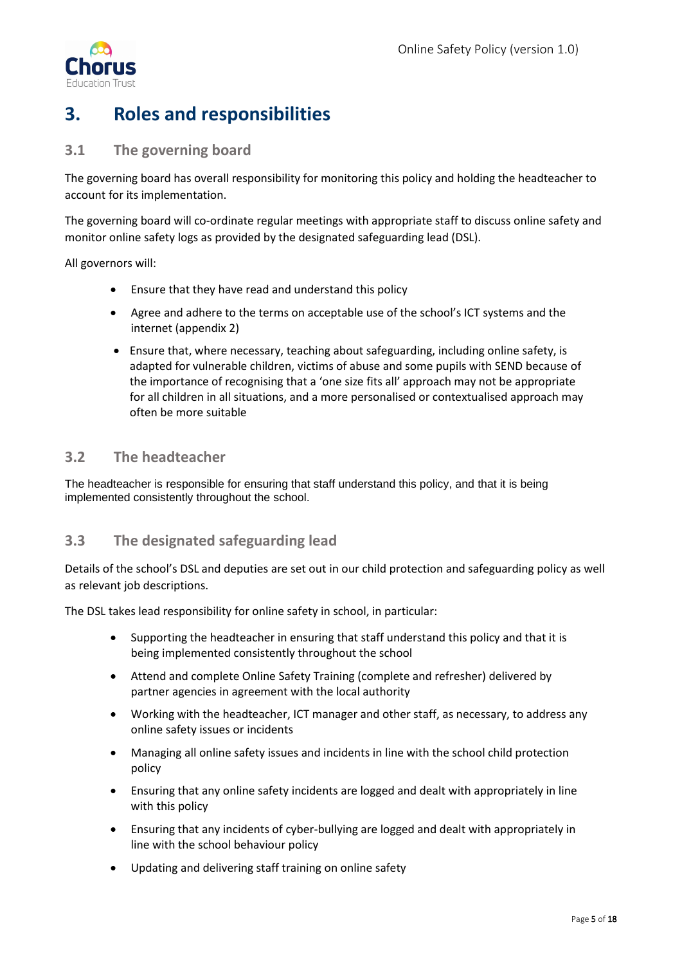

# <span id="page-4-0"></span>**3. Roles and responsibilities**

#### <span id="page-4-1"></span>**3.1 The governing board**

The governing board has overall responsibility for monitoring this policy and holding the headteacher to account for its implementation.

The governing board will co-ordinate regular meetings with appropriate staff to discuss online safety and monitor online safety logs as provided by the designated safeguarding lead (DSL).

All governors will:

- Ensure that they have read and understand this policy
- Agree and adhere to the terms on acceptable use of the school's ICT systems and the internet (appendix 2)
- Ensure that, where necessary, teaching about safeguarding, including online safety, is adapted for vulnerable children, victims of abuse and some pupils with SEND because of the importance of recognising that a 'one size fits all' approach may not be appropriate for all children in all situations, and a more personalised or contextualised approach may often be more suitable

#### <span id="page-4-2"></span>**3.2 The headteacher**

The headteacher is responsible for ensuring that staff understand this policy, and that it is being implemented consistently throughout the school.

#### <span id="page-4-3"></span>**3.3 The designated safeguarding lead**

Details of the school's DSL and deputies are set out in our child protection and safeguarding policy as well as relevant job descriptions.

The DSL takes lead responsibility for online safety in school, in particular:

- Supporting the headteacher in ensuring that staff understand this policy and that it is being implemented consistently throughout the school
- Attend and complete Online Safety Training (complete and refresher) delivered by partner agencies in agreement with the local authority
- Working with the headteacher, ICT manager and other staff, as necessary, to address any online safety issues or incidents
- Managing all online safety issues and incidents in line with the school child protection policy
- Ensuring that any online safety incidents are logged and dealt with appropriately in line with this policy
- Ensuring that any incidents of cyber-bullying are logged and dealt with appropriately in line with the school behaviour policy
- Updating and delivering staff training on online safety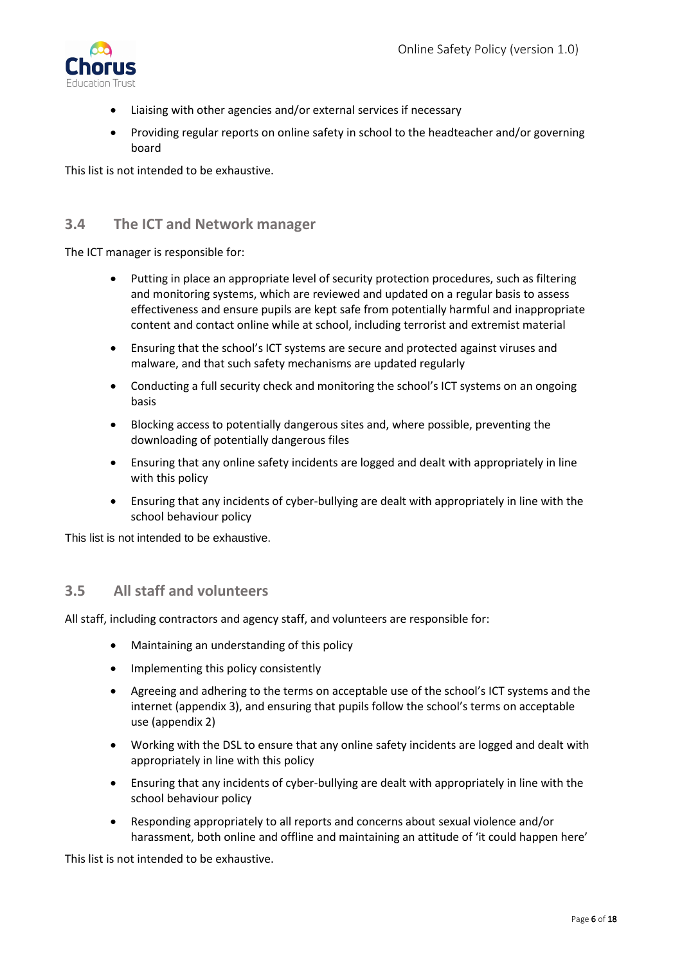

- Liaising with other agencies and/or external services if necessary
- Providing regular reports on online safety in school to the headteacher and/or governing board

This list is not intended to be exhaustive.

### <span id="page-5-0"></span>**3.4 The ICT and Network manager**

The ICT manager is responsible for:

- Putting in place an appropriate level of security protection procedures, such as filtering and monitoring systems, which are reviewed and updated on a regular basis to assess effectiveness and ensure pupils are kept safe from potentially harmful and inappropriate content and contact online while at school, including terrorist and extremist material
- Ensuring that the school's ICT systems are secure and protected against viruses and malware, and that such safety mechanisms are updated regularly
- Conducting a full security check and monitoring the school's ICT systems on an ongoing basis
- Blocking access to potentially dangerous sites and, where possible, preventing the downloading of potentially dangerous files
- Ensuring that any online safety incidents are logged and dealt with appropriately in line with this policy
- Ensuring that any incidents of cyber-bullying are dealt with appropriately in line with the school behaviour policy

This list is not intended to be exhaustive.

#### <span id="page-5-1"></span>**3.5 All staff and volunteers**

All staff, including contractors and agency staff, and volunteers are responsible for:

- Maintaining an understanding of this policy
- Implementing this policy consistently
- Agreeing and adhering to the terms on acceptable use of the school's ICT systems and the internet (appendix 3), and ensuring that pupils follow the school's terms on acceptable use (appendix 2)
- Working with the DSL to ensure that any online safety incidents are logged and dealt with appropriately in line with this policy
- Ensuring that any incidents of cyber-bullying are dealt with appropriately in line with the school behaviour policy
- Responding appropriately to all reports and concerns about sexual violence and/or harassment, both online and offline and maintaining an attitude of 'it could happen here'

This list is not intended to be exhaustive.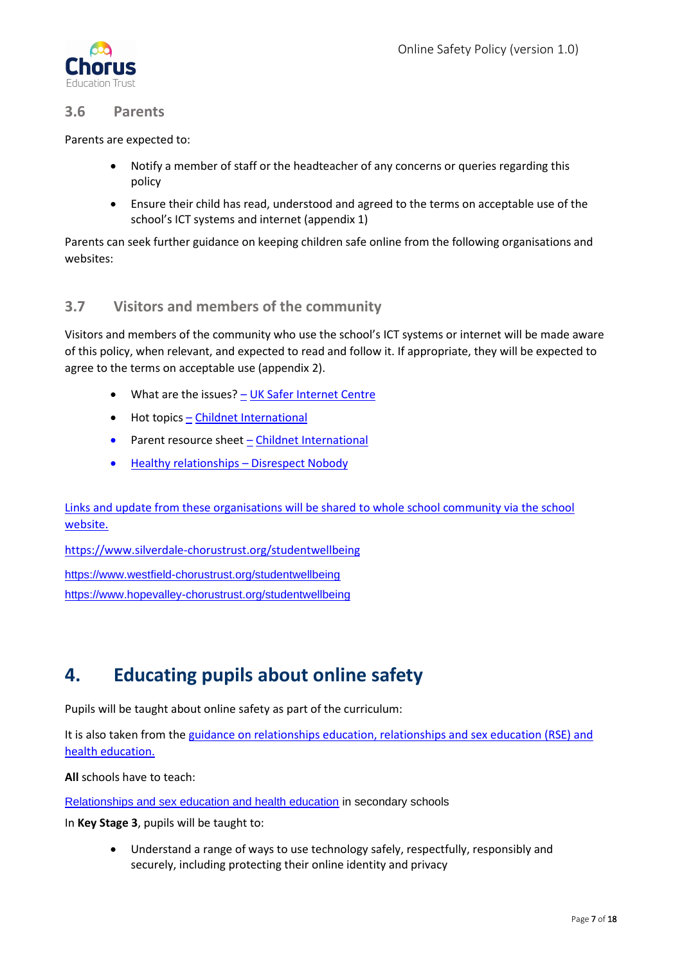

### <span id="page-6-0"></span>**3.6 Parents**

Parents are expected to:

- Notify a member of staff or the headteacher of any concerns or queries regarding this policy
- Ensure their child has read, understood and agreed to the terms on acceptable use of the school's ICT systems and internet (appendix 1)

Parents can seek further guidance on keeping children safe online from the following organisations and websites:

### <span id="page-6-1"></span>**3.7 Visitors and members of the community**

Visitors and members of the community who use the school's ICT systems or internet will be made aware of this policy, when relevant, and expected to read and follow it. If appropriate, they will be expected to agree to the terms on acceptable use (appendix 2).

- What are the issues? [UK Safer Internet Centre](https://www.saferinternet.org.uk/advice-centre/parents-and-carers/what-are-issues)
- Hot topics [Childnet International](http://www.childnet.com/parents-and-carers/hot-topics)
- Parent resource sheet [Childnet International](https://www.childnet.com/resources/parents-and-carers-resource-sheet)
- Healthy relationships [Disrespect Nobody](https://www.disrespectnobody.co.uk/)

Links and update from these organisations will be shared to whole school community via the school website.

<https://www.silverdale-chorustrust.org/studentwellbeing>

<https://www.westfield-chorustrust.org/studentwellbeing> <https://www.hopevalley-chorustrust.org/studentwellbeing>

## <span id="page-6-2"></span>**4. Educating pupils about online safety**

Pupils will be taught about online safety as part of the curriculum:

It is also taken from th[e guidance on relationships education, relationships and sex education \(RSE\) and](https://www.gov.uk/government/publications/relationships-education-relationships-and-sex-education-rse-and-health-education)  [health education.](https://www.gov.uk/government/publications/relationships-education-relationships-and-sex-education-rse-and-health-education)

**All** schools have to teach:

[Relationships and sex education and health education](https://schoolleaders.thekeysupport.com/uid/66a1d83e-2fb9-411e-91f1-fe52a09d16d1/) in secondary schools

In **Key Stage 3**, pupils will be taught to:

• Understand a range of ways to use technology safely, respectfully, responsibly and securely, including protecting their online identity and privacy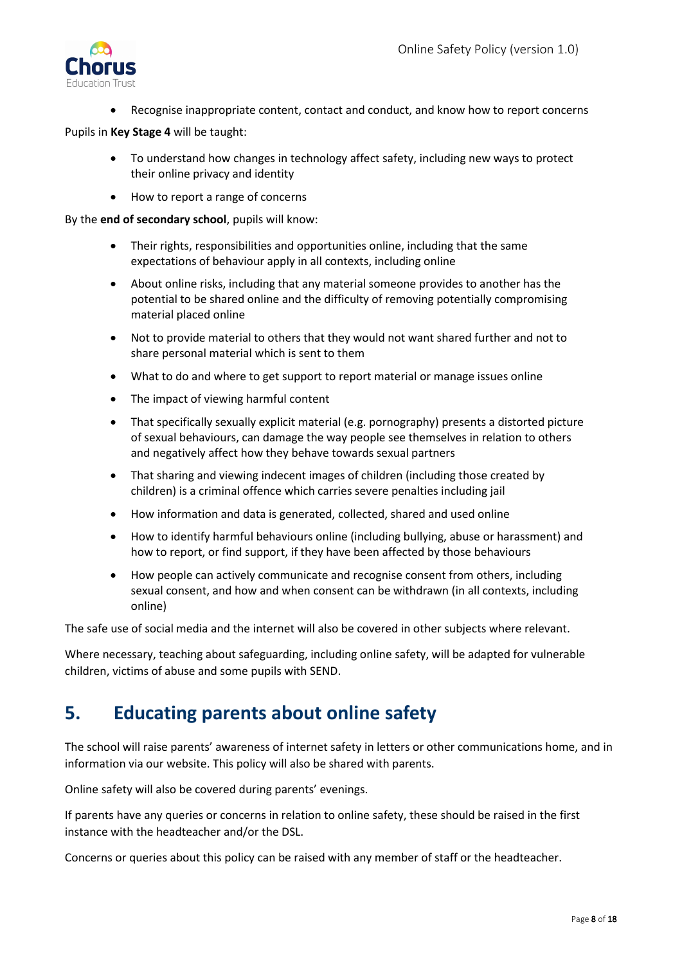

• Recognise inappropriate content, contact and conduct, and know how to report concerns

#### Pupils in **Key Stage 4** will be taught:

- To understand how changes in technology affect safety, including new ways to protect their online privacy and identity
- How to report a range of concerns

By the **end of secondary school**, pupils will know:

- Their rights, responsibilities and opportunities online, including that the same expectations of behaviour apply in all contexts, including online
- About online risks, including that any material someone provides to another has the potential to be shared online and the difficulty of removing potentially compromising material placed online
- Not to provide material to others that they would not want shared further and not to share personal material which is sent to them
- What to do and where to get support to report material or manage issues online
- The impact of viewing harmful content
- That specifically sexually explicit material (e.g. pornography) presents a distorted picture of sexual behaviours, can damage the way people see themselves in relation to others and negatively affect how they behave towards sexual partners
- That sharing and viewing indecent images of children (including those created by children) is a criminal offence which carries severe penalties including jail
- How information and data is generated, collected, shared and used online
- How to identify harmful behaviours online (including bullying, abuse or harassment) and how to report, or find support, if they have been affected by those behaviours
- How people can actively communicate and recognise consent from others, including sexual consent, and how and when consent can be withdrawn (in all contexts, including online)

The safe use of social media and the internet will also be covered in other subjects where relevant.

Where necessary, teaching about safeguarding, including online safety, will be adapted for vulnerable children, victims of abuse and some pupils with SEND.

## <span id="page-7-0"></span>**5. Educating parents about online safety**

The school will raise parents' awareness of internet safety in letters or other communications home, and in information via our website. This policy will also be shared with parents.

Online safety will also be covered during parents' evenings.

If parents have any queries or concerns in relation to online safety, these should be raised in the first instance with the headteacher and/or the DSL.

Concerns or queries about this policy can be raised with any member of staff or the headteacher.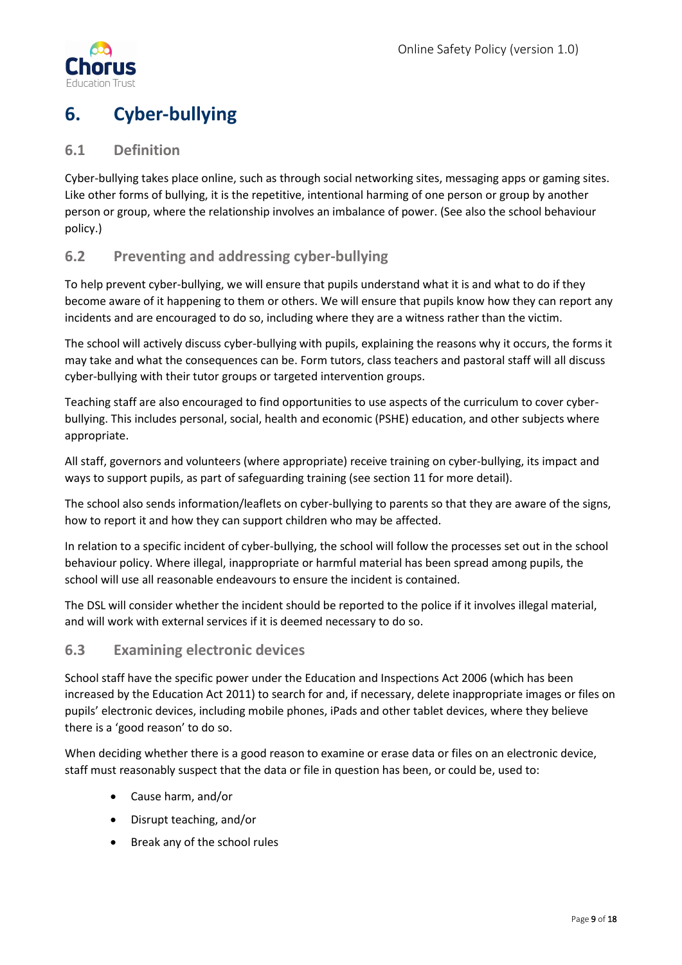

# <span id="page-8-0"></span>**6. Cyber-bullying**

### <span id="page-8-1"></span>**6.1 Definition**

Cyber-bullying takes place online, such as through social networking sites, messaging apps or gaming sites. Like other forms of bullying, it is the repetitive, intentional harming of one person or group by another person or group, where the relationship involves an imbalance of power. (See also the school behaviour policy.)

### <span id="page-8-2"></span>**6.2 Preventing and addressing cyber-bullying**

To help prevent cyber-bullying, we will ensure that pupils understand what it is and what to do if they become aware of it happening to them or others. We will ensure that pupils know how they can report any incidents and are encouraged to do so, including where they are a witness rather than the victim.

The school will actively discuss cyber-bullying with pupils, explaining the reasons why it occurs, the forms it may take and what the consequences can be. Form tutors, class teachers and pastoral staff will all discuss cyber-bullying with their tutor groups or targeted intervention groups.

Teaching staff are also encouraged to find opportunities to use aspects of the curriculum to cover cyberbullying. This includes personal, social, health and economic (PSHE) education, and other subjects where appropriate.

All staff, governors and volunteers (where appropriate) receive training on cyber-bullying, its impact and ways to support pupils, as part of safeguarding training (see section 11 for more detail).

The school also sends information/leaflets on cyber-bullying to parents so that they are aware of the signs, how to report it and how they can support children who may be affected.

In relation to a specific incident of cyber-bullying, the school will follow the processes set out in the school behaviour policy. Where illegal, inappropriate or harmful material has been spread among pupils, the school will use all reasonable endeavours to ensure the incident is contained.

The DSL will consider whether the incident should be reported to the police if it involves illegal material, and will work with external services if it is deemed necessary to do so.

#### <span id="page-8-3"></span>**6.3 Examining electronic devices**

School staff have the specific power under the Education and Inspections Act 2006 (which has been increased by the Education Act 2011) to search for and, if necessary, delete inappropriate images or files on pupils' electronic devices, including mobile phones, iPads and other tablet devices, where they believe there is a 'good reason' to do so.

When deciding whether there is a good reason to examine or erase data or files on an electronic device, staff must reasonably suspect that the data or file in question has been, or could be, used to:

- Cause harm, and/or
- Disrupt teaching, and/or
- Break any of the school rules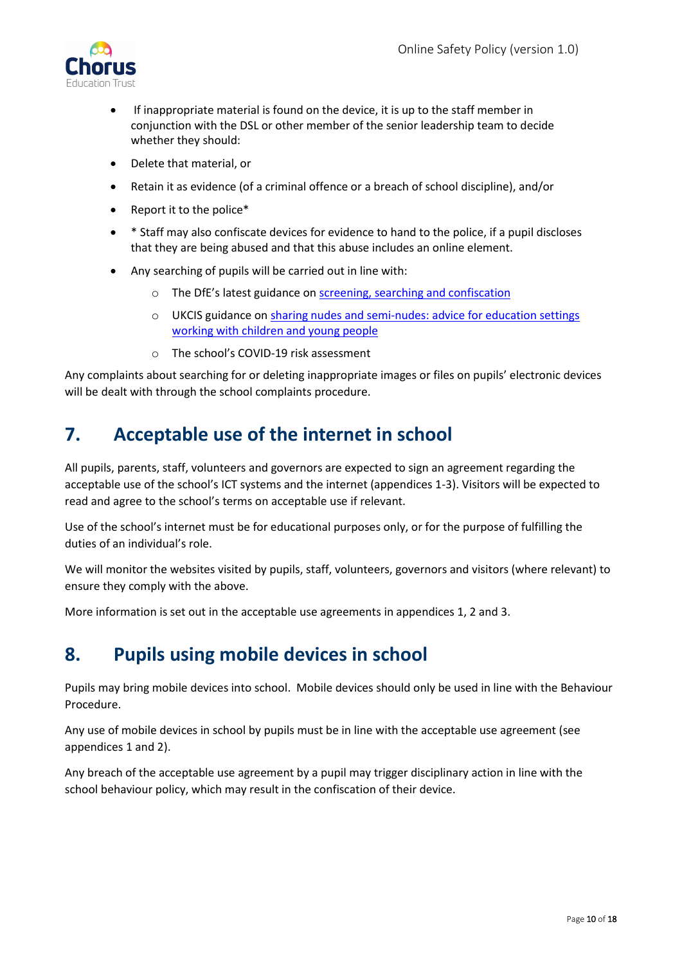

- If inappropriate material is found on the device, it is up to the staff member in conjunction with the DSL or other member of the senior leadership team to decide whether they should:
- Delete that material, or
- Retain it as evidence (of a criminal offence or a breach of school discipline), and/or
- Report it to the police\*
- \* Staff may also confiscate devices for evidence to hand to the police, if a pupil discloses that they are being abused and that this abuse includes an online element.
- Any searching of pupils will be carried out in line with:
	- o The DfE's latest guidance on [screening, searching and confiscation](https://www.gov.uk/government/publications/searching-screening-and-confiscation)
	- o UKCIS guidance on [sharing nudes and semi-nudes: advice for education settings](https://www.gov.uk/government/publications/sharing-nudes-and-semi-nudes-advice-for-education-settings-working-with-children-and-young-people)  [working with children and young people](https://www.gov.uk/government/publications/sharing-nudes-and-semi-nudes-advice-for-education-settings-working-with-children-and-young-people)
	- o The school's COVID-19 risk assessment

Any complaints about searching for or deleting inappropriate images or files on pupils' electronic devices will be dealt with through the school complaints procedure.

## <span id="page-9-0"></span>**7. Acceptable use of the internet in school**

All pupils, parents, staff, volunteers and governors are expected to sign an agreement regarding the acceptable use of the school's ICT systems and the internet (appendices 1-3). Visitors will be expected to read and agree to the school's terms on acceptable use if relevant.

Use of the school's internet must be for educational purposes only, or for the purpose of fulfilling the duties of an individual's role.

We will monitor the websites visited by pupils, staff, volunteers, governors and visitors (where relevant) to ensure they comply with the above.

More information is set out in the acceptable use agreements in appendices 1, 2 and 3.

## <span id="page-9-1"></span>**8. Pupils using mobile devices in school**

Pupils may bring mobile devices into school. Mobile devices should only be used in line with the Behaviour Procedure.

Any use of mobile devices in school by pupils must be in line with the acceptable use agreement (see appendices 1 and 2).

Any breach of the acceptable use agreement by a pupil may trigger disciplinary action in line with the school behaviour policy, which may result in the confiscation of their device.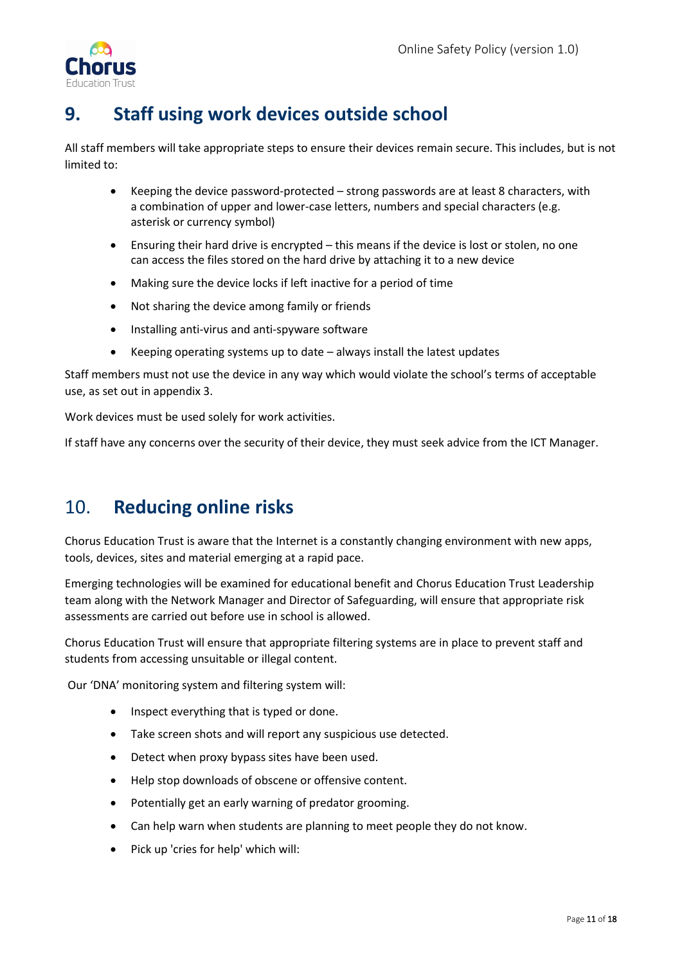

# <span id="page-10-0"></span>**9. Staff using work devices outside school**

All staff members will take appropriate steps to ensure their devices remain secure. This includes, but is not limited to:

- Keeping the device password-protected strong passwords are at least 8 characters, with a combination of upper and lower-case letters, numbers and special characters (e.g. asterisk or currency symbol)
- Ensuring their hard drive is encrypted this means if the device is lost or stolen, no one can access the files stored on the hard drive by attaching it to a new device
- Making sure the device locks if left inactive for a period of time
- Not sharing the device among family or friends
- Installing anti-virus and anti-spyware software
- Keeping operating systems up to date always install the latest updates

Staff members must not use the device in any way which would violate the school's terms of acceptable use, as set out in appendix 3.

Work devices must be used solely for work activities.

If staff have any concerns over the security of their device, they must seek advice from the ICT Manager.

## <span id="page-10-1"></span>10. **Reducing online risks**

Chorus Education Trust is aware that the Internet is a constantly changing environment with new apps, tools, devices, sites and material emerging at a rapid pace.

Emerging technologies will be examined for educational benefit and Chorus Education Trust Leadership team along with the Network Manager and Director of Safeguarding, will ensure that appropriate risk assessments are carried out before use in school is allowed.

Chorus Education Trust will ensure that appropriate filtering systems are in place to prevent staff and students from accessing unsuitable or illegal content.

Our 'DNA' monitoring system and filtering system will:

- Inspect everything that is typed or done.
- Take screen shots and will report any suspicious use detected.
- Detect when proxy bypass sites have been used.
- Help stop downloads of obscene or offensive content.
- Potentially get an early warning of predator grooming.
- Can help warn when students are planning to meet people they do not know.
- Pick up 'cries for help' which will: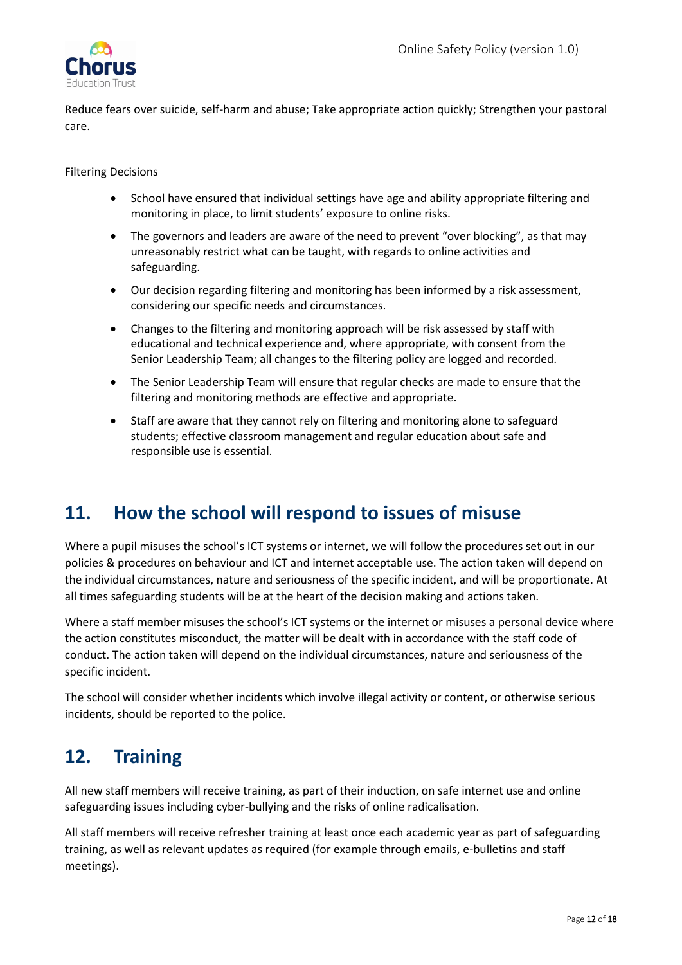

Reduce fears over suicide, self-harm and abuse; Take appropriate action quickly; Strengthen your pastoral care.

Filtering Decisions

- School have ensured that individual settings have age and ability appropriate filtering and monitoring in place, to limit students' exposure to online risks.
- The governors and leaders are aware of the need to prevent "over blocking", as that may unreasonably restrict what can be taught, with regards to online activities and safeguarding.
- Our decision regarding filtering and monitoring has been informed by a risk assessment, considering our specific needs and circumstances.
- Changes to the filtering and monitoring approach will be risk assessed by staff with educational and technical experience and, where appropriate, with consent from the Senior Leadership Team; all changes to the filtering policy are logged and recorded.
- The Senior Leadership Team will ensure that regular checks are made to ensure that the filtering and monitoring methods are effective and appropriate.
- Staff are aware that they cannot rely on filtering and monitoring alone to safeguard students; effective classroom management and regular education about safe and responsible use is essential.

## <span id="page-11-0"></span>**11. How the school will respond to issues of misuse**

Where a pupil misuses the school's ICT systems or internet, we will follow the procedures set out in our policies & procedures on behaviour and ICT and internet acceptable use. The action taken will depend on the individual circumstances, nature and seriousness of the specific incident, and will be proportionate. At all times safeguarding students will be at the heart of the decision making and actions taken.

Where a staff member misuses the school's ICT systems or the internet or misuses a personal device where the action constitutes misconduct, the matter will be dealt with in accordance with the staff code of conduct. The action taken will depend on the individual circumstances, nature and seriousness of the specific incident.

The school will consider whether incidents which involve illegal activity or content, or otherwise serious incidents, should be reported to the police.

## <span id="page-11-1"></span>**12. Training**

All new staff members will receive training, as part of their induction, on safe internet use and online safeguarding issues including cyber-bullying and the risks of online radicalisation.

All staff members will receive refresher training at least once each academic year as part of safeguarding training, as well as relevant updates as required (for example through emails, e-bulletins and staff meetings).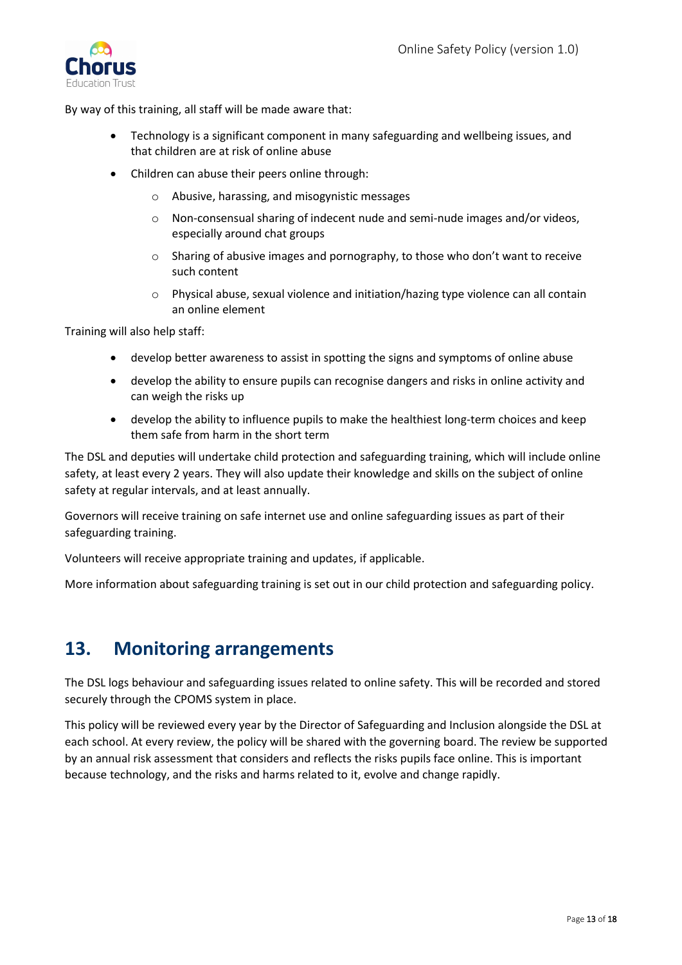

By way of this training, all staff will be made aware that:

- Technology is a significant component in many safeguarding and wellbeing issues, and that children are at risk of online abuse
- Children can abuse their peers online through:
	- o Abusive, harassing, and misogynistic messages
	- o Non-consensual sharing of indecent nude and semi-nude images and/or videos, especially around chat groups
	- o Sharing of abusive images and pornography, to those who don't want to receive such content
	- o Physical abuse, sexual violence and initiation/hazing type violence can all contain an online element

Training will also help staff:

- develop better awareness to assist in spotting the signs and symptoms of online abuse
- develop the ability to ensure pupils can recognise dangers and risks in online activity and can weigh the risks up
- develop the ability to influence pupils to make the healthiest long-term choices and keep them safe from harm in the short term

The DSL and deputies will undertake child protection and safeguarding training, which will include online safety, at least every 2 years. They will also update their knowledge and skills on the subject of online safety at regular intervals, and at least annually.

Governors will receive training on safe internet use and online safeguarding issues as part of their safeguarding training.

Volunteers will receive appropriate training and updates, if applicable.

More information about safeguarding training is set out in our child protection and safeguarding policy.

## <span id="page-12-0"></span>**13. Monitoring arrangements**

The DSL logs behaviour and safeguarding issues related to online safety. This will be recorded and stored securely through the CPOMS system in place.

This policy will be reviewed every year by the Director of Safeguarding and Inclusion alongside the DSL at each school. At every review, the policy will be shared with the governing board. The review be supported by an annual risk assessment that considers and reflects the risks pupils face online. This is important because technology, and the risks and harms related to it, evolve and change rapidly.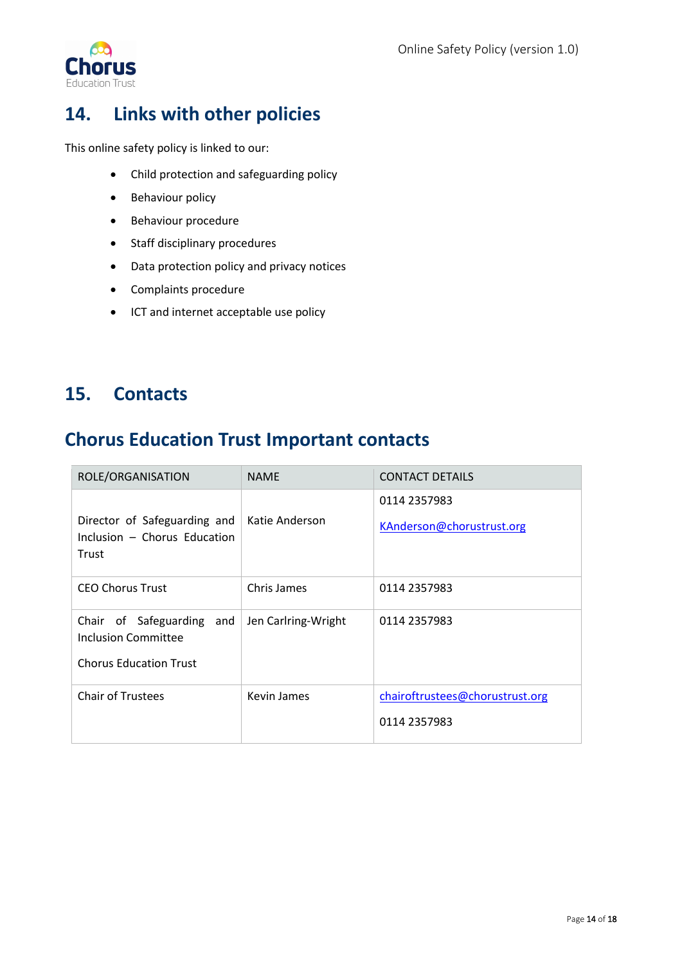

# <span id="page-13-0"></span>**14. Links with other policies**

This online safety policy is linked to our:

- Child protection and safeguarding policy
- Behaviour policy
- Behaviour procedure
- Staff disciplinary procedures
- Data protection policy and privacy notices
- Complaints procedure
- ICT and internet acceptable use policy

### <span id="page-13-1"></span>**15. Contacts**

## <span id="page-13-2"></span>**Chorus Education Trust Important contacts**

| ROLE/ORGANISATION                                                                    | <b>NAME</b>         | <b>CONTACT DETAILS</b>                          |
|--------------------------------------------------------------------------------------|---------------------|-------------------------------------------------|
| Director of Safeguarding and<br>Inclusion - Chorus Education<br>Trust                | Katie Anderson      | 0114 2357983<br>KAnderson@chorustrust.org       |
| <b>CEO Chorus Trust</b>                                                              | Chris James         | 0114 2357983                                    |
| Chair of Safeguarding<br>and<br>Inclusion Committee<br><b>Chorus Education Trust</b> | Jen Carlring-Wright | 0114 2357983                                    |
| <b>Chair of Trustees</b>                                                             | Kevin James         | chairoftrustees@chorustrust.org<br>0114 2357983 |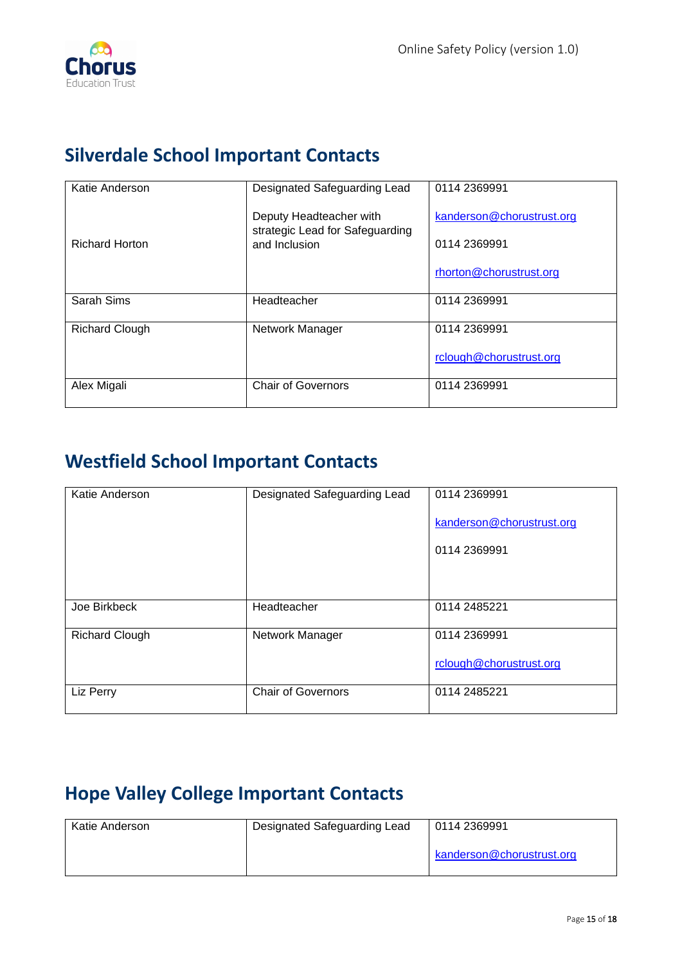

## <span id="page-14-0"></span>**Silverdale School Important Contacts**

| Katie Anderson        | Designated Safeguarding Lead                                                | 0114 2369991                                                         |
|-----------------------|-----------------------------------------------------------------------------|----------------------------------------------------------------------|
| <b>Richard Horton</b> | Deputy Headteacher with<br>strategic Lead for Safeguarding<br>and Inclusion | kanderson@chorustrust.org<br>0114 2369991<br>rhorton@chorustrust.org |
| Sarah Sims            | Headteacher                                                                 | 0114 2369991                                                         |
|                       |                                                                             |                                                                      |
| <b>Richard Clough</b> | Network Manager                                                             | 0114 2369991                                                         |
|                       |                                                                             | rclough@chorustrust.org                                              |
| Alex Migali           | <b>Chair of Governors</b>                                                   | 0114 2369991                                                         |

# <span id="page-14-1"></span>**Westfield School Important Contacts**

| Katie Anderson        | Designated Safeguarding Lead | 0114 2369991<br>kanderson@chorustrust.org<br>0114 2369991 |
|-----------------------|------------------------------|-----------------------------------------------------------|
|                       |                              |                                                           |
| Joe Birkbeck          | Headteacher                  | 0114 2485221                                              |
| <b>Richard Clough</b> | Network Manager              | 0114 2369991<br>rclough@chorustrust.org                   |
| Liz Perry             | <b>Chair of Governors</b>    | 0114 2485221                                              |

# <span id="page-14-2"></span>**Hope Valley College Important Contacts**

| Katie Anderson | Designated Safeguarding Lead | 0114 2369991              |
|----------------|------------------------------|---------------------------|
|                |                              | kanderson@chorustrust.org |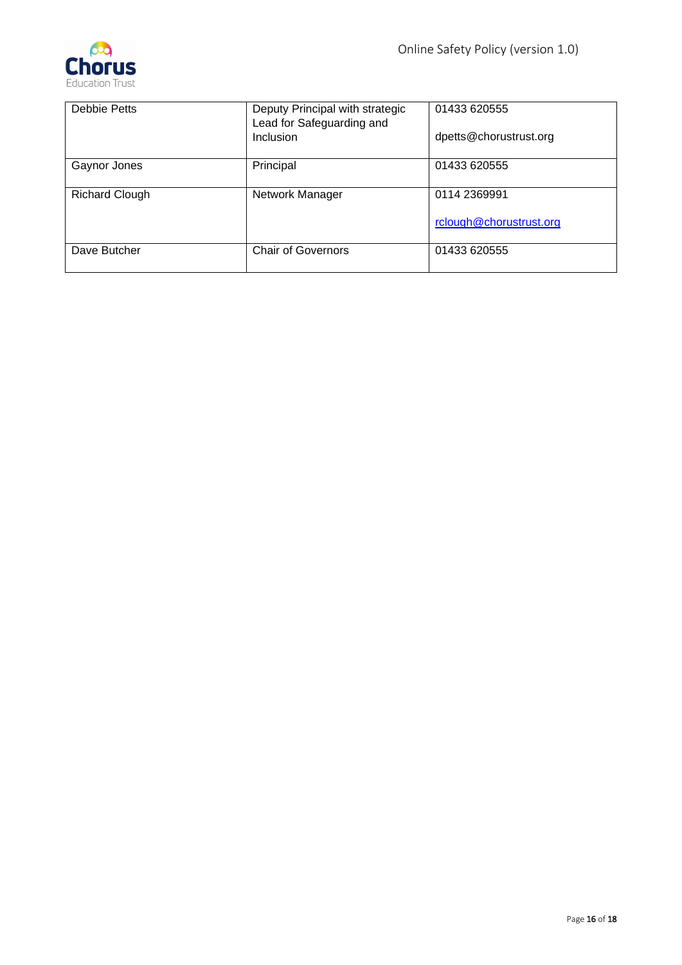

| Debbie Petts          | Deputy Principal with strategic<br>Lead for Safeguarding and<br>Inclusion | 01433 620555<br>dpetts@chorustrust.org |
|-----------------------|---------------------------------------------------------------------------|----------------------------------------|
|                       |                                                                           |                                        |
| Gaynor Jones          | Principal                                                                 | 01433 620555                           |
| <b>Richard Clough</b> | Network Manager                                                           | 0114 2369991                           |
|                       |                                                                           | rclough@chorustrust.org                |
| Dave Butcher          | <b>Chair of Governors</b>                                                 | 01433 620555                           |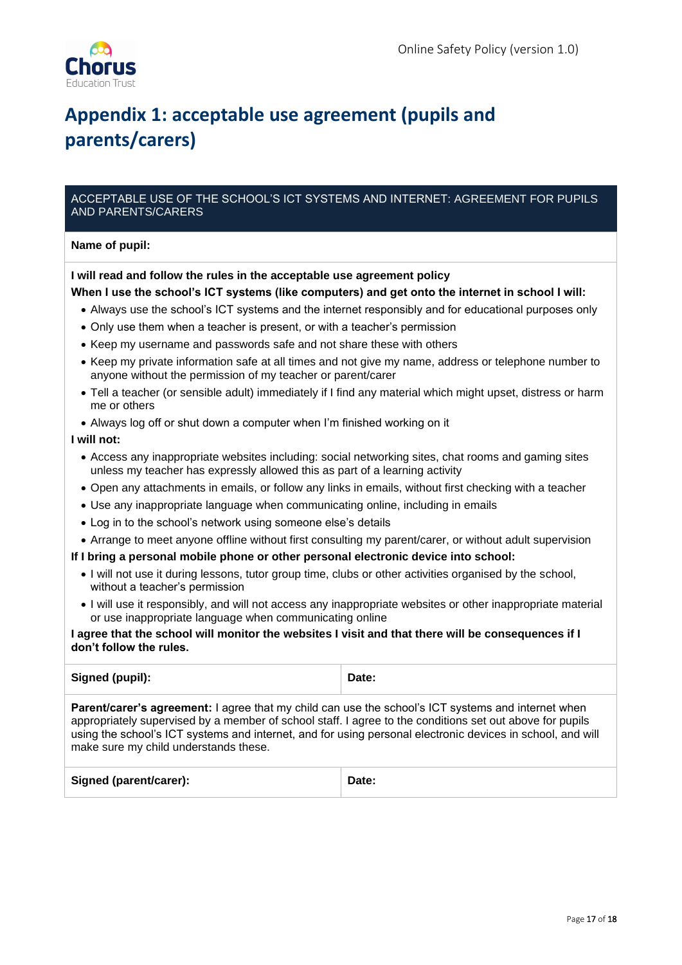# <span id="page-16-0"></span>**Appendix 1: acceptable use agreement (pupils and parents/carers)**

#### ACCEPTABLE USE OF THE SCHOOL'S ICT SYSTEMS AND INTERNET: AGREEMENT FOR PUPILS AND PARENTS/CARERS

#### **Name of pupil:**

#### **I will read and follow the rules in the acceptable use agreement policy**

#### **When I use the school's ICT systems (like computers) and get onto the internet in school I will:**

- Always use the school's ICT systems and the internet responsibly and for educational purposes only
- Only use them when a teacher is present, or with a teacher's permission
- Keep my username and passwords safe and not share these with others
- Keep my private information safe at all times and not give my name, address or telephone number to anyone without the permission of my teacher or parent/carer
- Tell a teacher (or sensible adult) immediately if I find any material which might upset, distress or harm me or others
- Always log off or shut down a computer when I'm finished working on it

#### **I will not:**

- Access any inappropriate websites including: social networking sites, chat rooms and gaming sites unless my teacher has expressly allowed this as part of a learning activity
- Open any attachments in emails, or follow any links in emails, without first checking with a teacher
- Use any inappropriate language when communicating online, including in emails
- Log in to the school's network using someone else's details
- Arrange to meet anyone offline without first consulting my parent/carer, or without adult supervision

#### **If I bring a personal mobile phone or other personal electronic device into school:**

- I will not use it during lessons, tutor group time, clubs or other activities organised by the school, without a teacher's permission
- I will use it responsibly, and will not access any inappropriate websites or other inappropriate material or use inappropriate language when communicating online

#### **I agree that the school will monitor the websites I visit and that there will be consequences if I don't follow the rules.**

| Signed (pupil):                                                                                                                                                                                                                                                                                                                                                              | Date: |  |
|------------------------------------------------------------------------------------------------------------------------------------------------------------------------------------------------------------------------------------------------------------------------------------------------------------------------------------------------------------------------------|-------|--|
| <b>Parent/carer's agreement:</b> I agree that my child can use the school's ICT systems and internet when<br>appropriately supervised by a member of school staff. I agree to the conditions set out above for pupils<br>using the school's ICT systems and internet, and for using personal electronic devices in school, and will<br>make sure my child understands these. |       |  |
| Signed (parent/carer):                                                                                                                                                                                                                                                                                                                                                       | Date: |  |